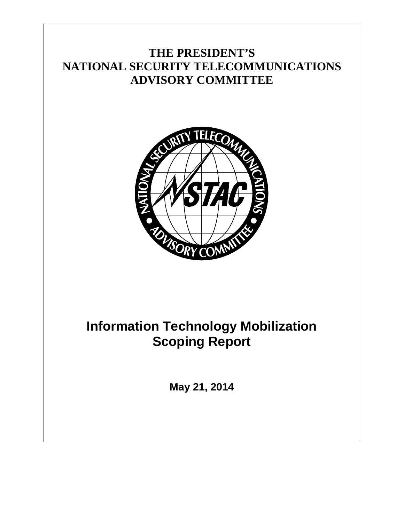## **THE PRESIDENT'S NATIONAL SECURITY TELECOMMUNICATIONS ADVISORY COMMITTEE**



# <span id="page-0-0"></span>**Information Technology Mobilization Scoping Report**

**May 21, 2014**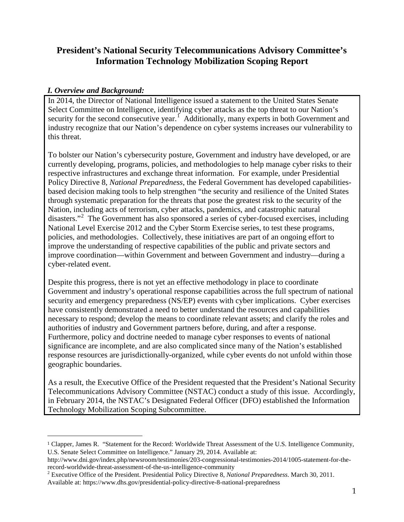### **President's National Security Telecommunications Advisory Committee's Information Technology Mobilization Scoping Report**

#### *I. Overview and Background:*

 $\overline{a}$ 

In 2014, the Director of National Intelligence issued a statement to the United States Senate Select Committee on Intelligence, identifying cyber attacks as the top threat to our Nation's security for the second consecutive year.<sup>[1](#page-0-0)</sup> Additionally, many experts in both Government and industry recognize that our Nation's dependence on cyber systems increases our vulnerability to this threat.

To bolster our Nation's cybersecurity posture, Government and industry have developed, or are currently developing, programs, policies, and methodologies to help manage cyber risks to their respective infrastructures and exchange threat information. For example, under Presidential Policy Directive 8, *National Preparedness*, the Federal Government has developed capabilitiesbased decision making tools to help strengthen "the security and resilience of the United States through systematic preparation for the threats that pose the greatest risk to the security of the Nation, including acts of terrorism, cyber attacks, pandemics, and catastrophic natural disasters."<sup>[2](#page-1-0)</sup> The Government has also sponsored a series of cyber-focused exercises, including National Level Exercise 2012 and the Cyber Storm Exercise series, to test these programs, policies, and methodologies. Collectively, these initiatives are part of an ongoing effort to improve the understanding of respective capabilities of the public and private sectors and improve coordination—within Government and between Government and industry—during a cyber-related event.

Despite this progress, there is not yet an effective methodology in place to coordinate Government and industry's operational response capabilities across the full spectrum of national security and emergency preparedness (NS/EP) events with cyber implications. Cyber exercises have consistently demonstrated a need to better understand the resources and capabilities necessary to respond; develop the means to coordinate relevant assets; and clarify the roles and authorities of industry and Government partners before, during, and after a response. Furthermore, policy and doctrine needed to manage cyber responses to events of national significance are incomplete, and are also complicated since many of the Nation's established response resources are jurisdictionally-organized, while cyber events do not unfold within those geographic boundaries.

As a result, the Executive Office of the President requested that the President's National Security Telecommunications Advisory Committee (NSTAC) conduct a study of this issue. Accordingly, in February 2014, the NSTAC's Designated Federal Officer (DFO) established the Information Technology Mobilization Scoping Subcommittee.

http://www.dni.gov/index.php/newsroom/testimonies/203-congressional-testimonies-2014/1005-statement-for-the-record-worldwide-threat-assessment-of-the-us-intelligence-community

<sup>1</sup> Clapper, James R. "Statement for the Record: Worldwide Threat Assessment of the U.S. Intelligence Community, U.S. Senate Select Committee on Intelligence." January 29, 2014. Available at:

<span id="page-1-1"></span><span id="page-1-0"></span><sup>&</sup>lt;sup>2</sup> Executive Office of the President. Presidential Policy Directive 8, *National Preparedness*. March 30, 2011. Available at: https://www.dhs.gov/presidential-policy-directive-8-national-preparedness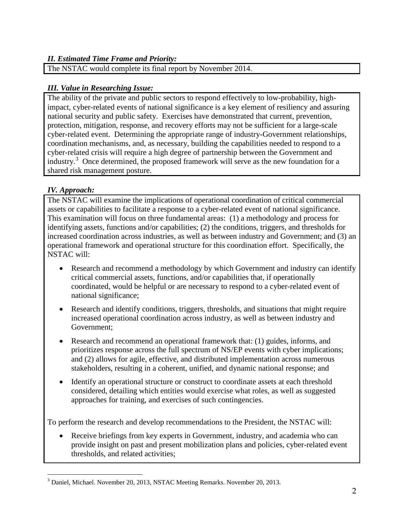#### *II. Estimated Time Frame and Priority:*

The NSTAC would complete its final report by November 2014.

#### *III. Value in Researching Issue:*

The ability of the private and public sectors to respond effectively to low-probability, highimpact, cyber-related events of national significance is a key element of resiliency and assuring national security and public safety. Exercises have demonstrated that current, prevention, protection, mitigation, response, and recovery efforts may not be sufficient for a large-scale cyber-related event. Determining the appropriate range of industry-Government relationships, coordination mechanisms, and, as necessary, building the capabilities needed to respond to a cyber-related crisis will require a high degree of partnership between the Government and industry.<sup>[3](#page-1-1)</sup> Once determined, the proposed framework will serve as the new foundation for a shared risk management posture.

#### *IV. Approach:*

The NSTAC will examine the implications of operational coordination of critical commercial assets or capabilities to facilitate a response to a cyber-related event of national significance. This examination will focus on three fundamental areas: (1) a methodology and process for identifying assets, functions and/or capabilities; (2) the conditions, triggers, and thresholds for increased coordination across industries, as well as between industry and Government; and (3) an operational framework and operational structure for this coordination effort. Specifically, the NSTAC will:

- Research and recommend a methodology by which Government and industry can identify critical commercial assets, functions, and/or capabilities that, if operationally coordinated, would be helpful or are necessary to respond to a cyber-related event of national significance;
- Research and identify conditions, triggers, thresholds, and situations that might require increased operational coordination across industry, as well as between industry and Government;
- Research and recommend an operational framework that: (1) guides, informs, and prioritizes response across the full spectrum of NS/EP events with cyber implications; and (2) allows for agile, effective, and distributed implementation across numerous stakeholders, resulting in a coherent, unified, and dynamic national response; and
- Identify an operational structure or construct to coordinate assets at each threshold considered, detailing which entities would exercise what roles, as well as suggested approaches for training, and exercises of such contingencies.

To perform the research and develop recommendations to the President, the NSTAC will:

• Receive briefings from key experts in Government, industry, and academia who can provide insight on past and present mobilization plans and policies, cyber-related event thresholds, and related activities;

 $\overline{a}$ <sup>3</sup> Daniel, Michael. November 20, 2013, NSTAC Meeting Remarks. November 20, 2013.